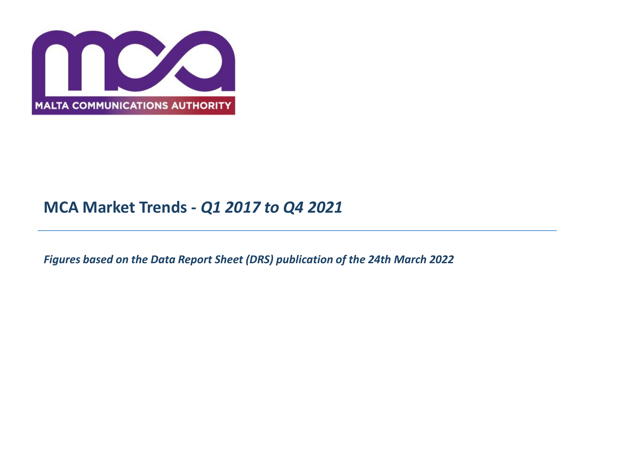

# **MCA Market Trends -** *Q1 2017 to Q4 2021*

*Figures based on the Data Report Sheet (DRS) publication of the 24th March 2022*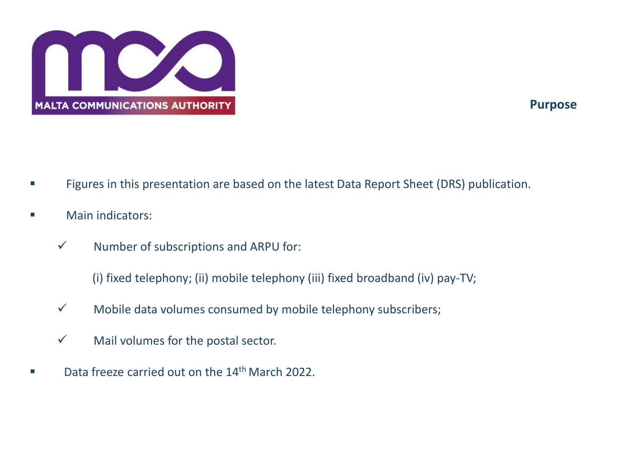

## **Purpose**

- Figures in this presentation are based on the latest Data Report Sheet (DRS) publication.
- Main indicators:
	- $\checkmark$  Number of subscriptions and ARPU for:

(i) fixed telephony; (ii) mobile telephony (iii) fixed broadband (iv) pay-TV;

- $\checkmark$  Mobile data volumes consumed by mobile telephony subscribers;
- $\checkmark$  Mail volumes for the postal sector.
- Data freeze carried out on the 14<sup>th</sup> March 2022.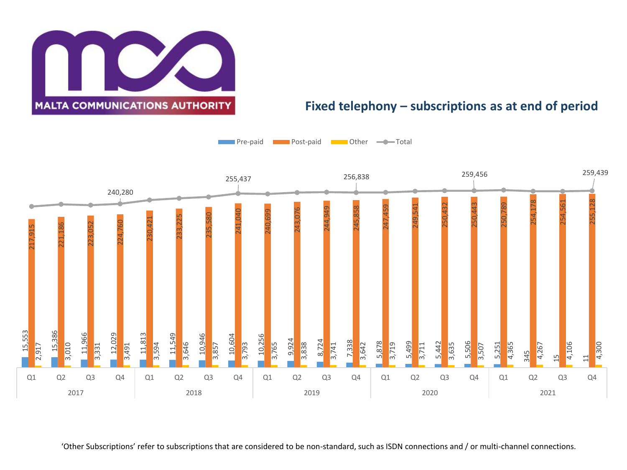

#### **Fixed telephony – subscriptions as at end of period**

Pre-paid **Post-paid Post-paid Pre-Post-Total** 



'Other Subscriptions' refer to subscriptions that are considered to be non-standard, such as ISDN connections and / or multi-channel connections.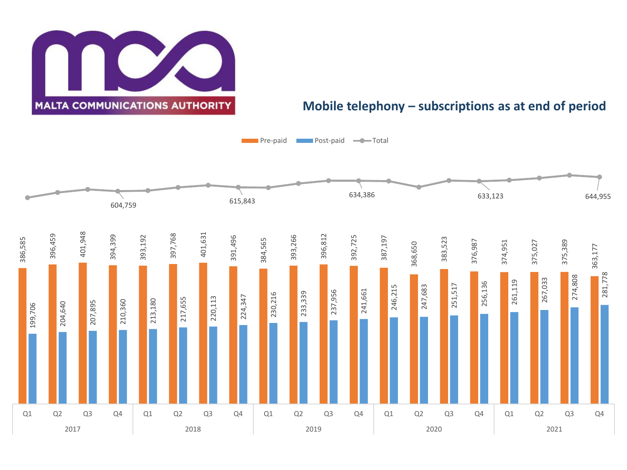**MALTA COMMUNICATIONS AUTHORITY** 

#### **Mobile telephony – subscriptions as at end of period**

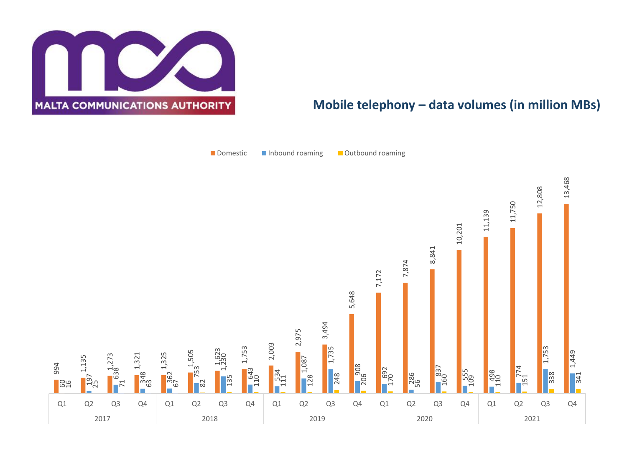

### **Mobile telephony – data volumes (in million MBs)**

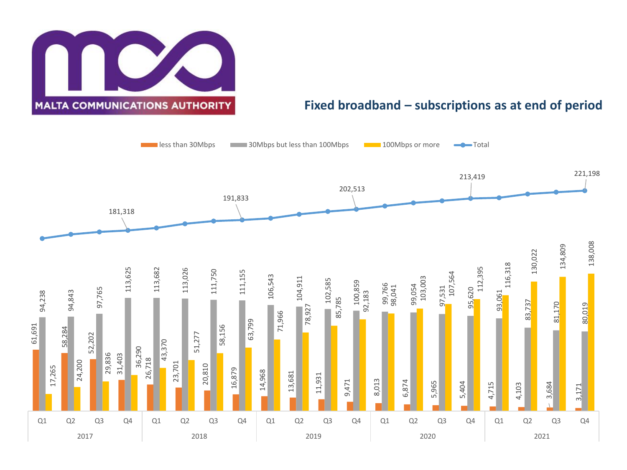

#### **Fixed broadband – subscriptions as at end of period**

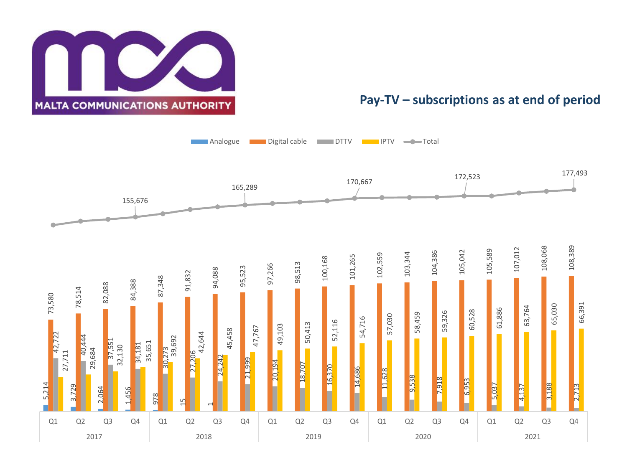

#### **Pay-TV – subscriptions as at end of period**

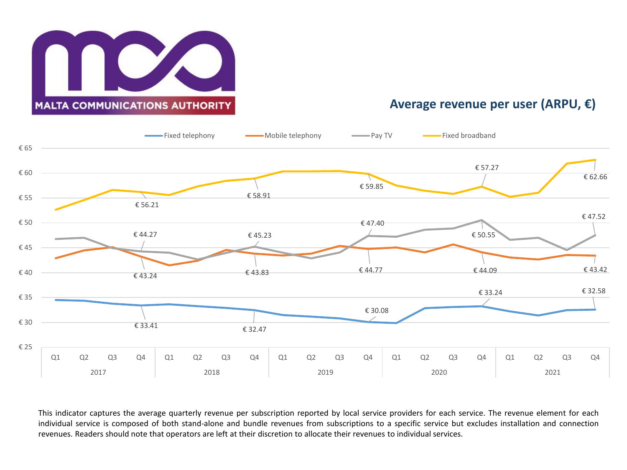

#### **Average revenue per user (ARPU, €)**



This indicator captures the average quarterly revenue per subscription reported by local service providers for each service. The revenue element for each individual service is composed of both stand-alone and bundle revenues from subscriptions to a specific service but excludes installation and connection revenues. Readers should note that operators are left at their discretion to allocate their revenues to individual services.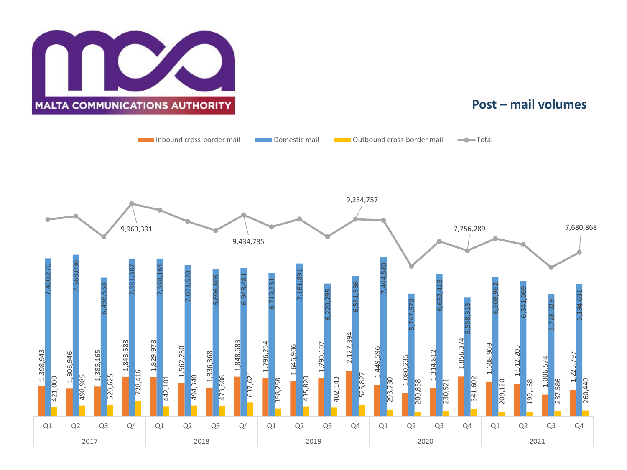

#### **Post – mail volumes**

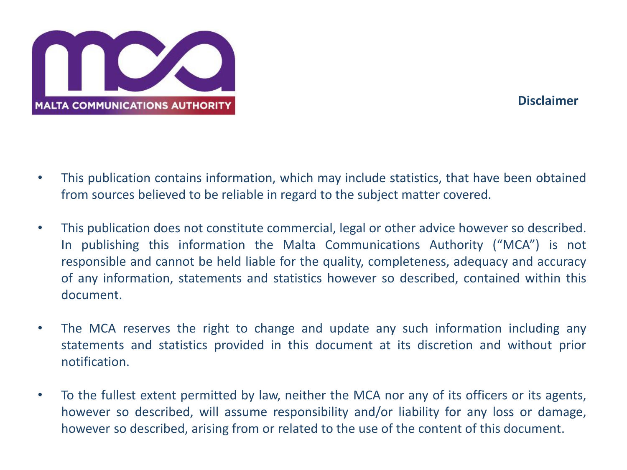

## **Disclaimer**

- This publication contains information, which may include statistics, that have been obtained from sources believed to be reliable in regard to the subject matter covered.
- This publication does not constitute commercial, legal or other advice however so described. In publishing this information the Malta Communications Authority ("MCA") is not responsible and cannot be held liable for the quality, completeness, adequacy and accuracy of any information, statements and statistics however so described, contained within this document.
- The MCA reserves the right to change and update any such information including any statements and statistics provided in this document at its discretion and without prior notification.
- To the fullest extent permitted by law, neither the MCA nor any of its officers or its agents, however so described, will assume responsibility and/or liability for any loss or damage, however so described, arising from or related to the use of the content of this document.